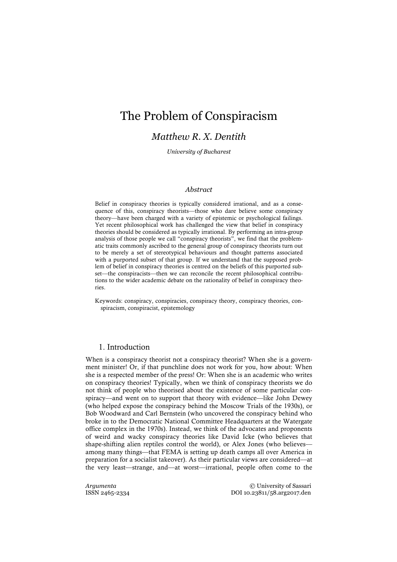# The Problem of Conspiracism

# *Matthew R. X. Dentith*

*University of Bucharest*

### *Abstract*

Belief in conspiracy theories is typically considered irrational, and as a consequence of this, conspiracy theorists––those who dare believe some conspiracy theory––have been charged with a variety of epistemic or psychological failings. Yet recent philosophical work has challenged the view that belief in conspiracy theories should be considered as typically irrational. By performing an intra-group analysis of those people we call "conspiracy theorists", we find that the problematic traits commonly ascribed to the general group of conspiracy theorists turn out to be merely a set of stereotypical behaviours and thought patterns associated with a purported subset of that group. If we understand that the supposed problem of belief in conspiracy theories is centred on the beliefs of this purported subset––the conspiracists––then we can reconcile the recent philosophical contributions to the wider academic debate on the rationality of belief in conspiracy theories.

Keywords: conspiracy, conspiracies, conspiracy theory, conspiracy theories, conspiracism, conspiracist, epistemology

## 1. Introduction

When is a conspiracy theorist not a conspiracy theorist? When she is a government minister! Or, if that punchline does not work for you, how about: When she is a respected member of the press! Or: When she is an academic who writes on conspiracy theories! Typically, when we think of conspiracy theorists we do not think of people who theorised about the existence of some particular conspiracy—and went on to support that theory with evidence—like John Dewey (who helped expose the conspiracy behind the Moscow Trials of the 1930s), or Bob Woodward and Carl Bernstein (who uncovered the conspiracy behind who broke in to the Democratic National Committee Headquarters at the Watergate office complex in the 1970s). Instead, we think of the advocates and proponents of weird and wacky conspiracy theories like David Icke (who believes that shape-shifting alien reptiles control the world), or Alex Jones (who believes–– among many things––that FEMA is setting up death camps all over America in preparation for a socialist takeover). As their particular views are considered––at the very least––strange, and––at worst—irrational, people often come to the

*Argumenta* © University of Sassari<br>ISSN 2465-2334 DOI 10.23811/58.arg2017.den DOI 10.23811/58.arg2017.den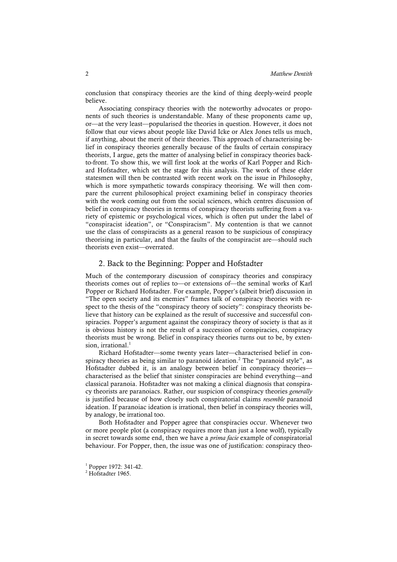conclusion that conspiracy theories are the kind of thing deeply-weird people believe.

Associating conspiracy theories with the noteworthy advocates or proponents of such theories is understandable. Many of these proponents came up, or––at the very least––popularised the theories in question. However, it does not follow that our views about people like David Icke or Alex Jones tells us much, if anything, about the merit of their theories. This approach of characterising belief in conspiracy theories generally because of the faults of certain conspiracy theorists, I argue, gets the matter of analysing belief in conspiracy theories backto-front. To show this, we will first look at the works of Karl Popper and Richard Hofstadter, which set the stage for this analysis. The work of these elder statesmen will then be contrasted with recent work on the issue in Philosophy, which is more sympathetic towards conspiracy theorising. We will then compare the current philosophical project examining belief in conspiracy theories with the work coming out from the social sciences, which centres discussion of belief in conspiracy theories in terms of conspiracy theorists suffering from a variety of epistemic or psychological vices, which is often put under the label of "conspiracist ideation", or "Conspiracism". My contention is that we cannot use the class of conspiracists as a general reason to be suspicious of conspiracy theorising in particular, and that the faults of the conspiracist are––should such theorists even exist––overrated.

#### 2. Back to the Beginning: Popper and Hofstadter

Much of the contemporary discussion of conspiracy theories and conspiracy theorists comes out of replies to––or extensions of––the seminal works of Karl Popper or Richard Hofstadter. For example, Popper's (albeit brief) discussion in "The open society and its enemies" frames talk of conspiracy theories with respect to the thesis of the "conspiracy theory of society": conspiracy theorists believe that history can be explained as the result of successive and successful conspiracies. Popper's argument against the conspiracy theory of society is that as it is obvious history is not the result of a succession of conspiracies, conspiracy theorists must be wrong. Belief in conspiracy theories turns out to be, by extension, irrational. 1

Richard Hofstadter––some twenty years later––characterised belief in conspiracy theories as being similar to paranoid ideation. <sup>2</sup> The "paranoid style", as Hofstadter dubbed it, is an analogy between belief in conspiracy theoriescharacterised as the belief that sinister conspiracies are behind everything—and classical paranoia. Hofstadter was not making a clinical diagnosis that conspiracy theorists are paranoiacs. Rather, our suspicion of conspiracy theories *generally* is justified because of how closely such conspiratorial claims *resemble* paranoid ideation. If paranoiac ideation is irrational, then belief in conspiracy theories will, by analogy, be irrational too.

Both Hofstadter and Popper agree that conspiracies occur. Whenever two or more people plot (a conspiracy requires more than just a lone wolf), typically in secret towards some end, then we have a *prima facie* example of conspiratorial behaviour. For Popper, then, the issue was one of justification: conspiracy theo-

 $1$  Popper 1972: 341-42.

<sup>&</sup>lt;sup>2</sup> Hofstadter 1965.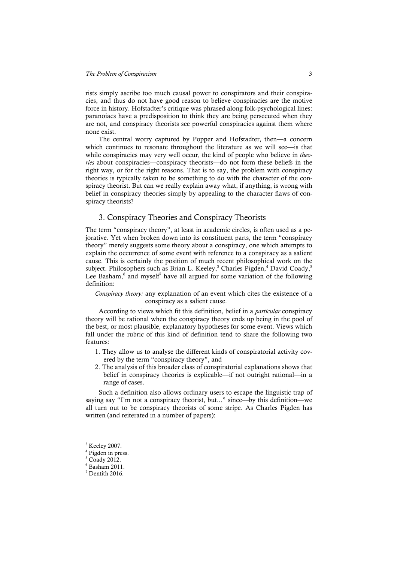rists simply ascribe too much causal power to conspirators and their conspiracies, and thus do not have good reason to believe conspiracies are the motive force in history. Hofstadter's critique was phrased along folk-psychological lines: paranoiacs have a predisposition to think they are being persecuted when they are not, and conspiracy theorists see powerful conspiracies against them where none exist.

The central worry captured by Popper and Hofstadter, then––a concern which continues to resonate throughout the literature as we will see—is that while conspiracies may very well occur, the kind of people who believe in *theories* about conspiracies––conspiracy theorists––do not form these beliefs in the right way, or for the right reasons. That is to say, the problem with conspiracy theories is typically taken to be something to do with the character of the conspiracy theorist. But can we really explain away what, if anything, is wrong with belief in conspiracy theories simply by appealing to the character flaws of conspiracy theorists?

# 3. Conspiracy Theories and Conspiracy Theorists

The term "conspiracy theory", at least in academic circles, is often used as a pejorative. Yet when broken down into its constituent parts, the term "conspiracy theory" merely suggests some theory about a conspiracy, one which attempts to explain the occurrence of some event with reference to a conspiracy as a salient cause. This is certainly the position of much recent philosophical work on the subject. Philosophers such as Brian L. Keeley,<sup>3</sup> Charles Pigden,<sup>4</sup> David Coady,<sup>5</sup> Lee Basham, $6$  and myself<sup>7</sup> have all argued for some variation of the following definition:

#### *Conspiracy theory:* any explanation of an event which cites the existence of a conspiracy as a salient cause.

According to views which fit this definition, belief in a *particular* conspiracy theory will be rational when the conspiracy theory ends up being in the pool of the best, or most plausible, explanatory hypotheses for some event. Views which fall under the rubric of this kind of definition tend to share the following two features:

- 1. They allow us to analyse the different kinds of conspiratorial activity covered by the term "conspiracy theory", and
- 2. The analysis of this broader class of conspiratorial explanations shows that belief in conspiracy theories is explicable—if not outright rational—in a range of cases.

Such a definition also allows ordinary users to escape the linguistic trap of saying say "I'm not a conspiracy theorist, but..." since––by this definition––we all turn out to be conspiracy theorists of some stripe. As Charles Pigden has written (and reiterated in a number of papers):

<sup>4</sup> Pigden in press.

 $3$  Keeley 2007.

 $5 \overline{\text{Coadv 2012}}$ .

 $6$  Basham 2011.

 $7$  Dentith 2016.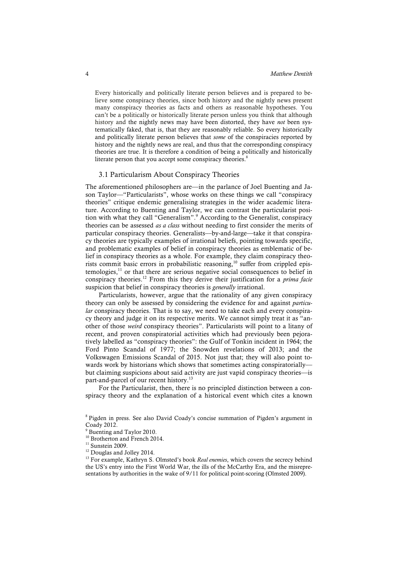Every historically and politically literate person believes and is prepared to believe some conspiracy theories, since both history and the nightly news present many conspiracy theories as facts and others as reasonable hypotheses. You can't be a politically or historically literate person unless you think that although history and the nightly news may have been distorted, they have *not* been systematically faked, that is, that they are reasonably reliable. So every historically and politically literate person believes that *some* of the conspiracies reported by history and the nightly news are real, and thus that the corresponding conspiracy theories are true. It is therefore a condition of being a politically and historically literate person that you accept some conspiracy theories.<sup>8</sup>

#### 3.1 Particularism About Conspiracy Theories

The aforementioned philosophers are––in the parlance of Joel Buenting and Jason Taylor-"Particularists", whose works on these things we call "conspiracy theories" critique endemic generalising strategies in the wider academic literature. According to Buenting and Taylor, we can contrast the particularist position with what they call "Generalism". <sup>9</sup> According to the Generalist, conspiracy theories can be assessed *as a class* without needing to first consider the merits of particular conspiracy theories. Generalists––by-and-large––take it that conspiracy theories are typically examples of irrational beliefs, pointing towards specific, and problematic examples of belief in conspiracy theories as emblematic of belief in conspiracy theories as a whole. For example, they claim conspiracy theorists commit basic errors in probabilistic reasoning,<sup>10</sup> suffer from crippled epis $temologies<sup>11</sup>$  or that there are serious negative social consequences to belief in conspiracy theories.<sup>12</sup> From this they derive their justification for a *prima facie* suspicion that belief in conspiracy theories is *generally* irrational.

Particularists, however, argue that the rationality of any given conspiracy theory can only be assessed by considering the evidence for and against *particular* conspiracy theories. That is to say, we need to take each and every conspiracy theory and judge it on its respective merits. We cannot simply treat it as "another of those *weird* conspiracy theories". Particularists will point to a litany of recent, and proven conspiratorial activities which had previously been pejoratively labelled as "conspiracy theories": the Gulf of Tonkin incident in 1964; the Ford Pinto Scandal of 1977; the Snowden revelations of 2013; and the Volkswagen Emissions Scandal of 2015. Not just that; they will also point towards work by historians which shows that sometimes acting conspiratorially but claiming suspicions about said activity are just vapid conspiracy theories––is part-and-parcel of our recent history.<sup>13</sup>

For the Particularist, then, there is no principled distinction between a conspiracy theory and the explanation of a historical event which cites a known

<sup>8</sup> Pigden in press. See also David Coady's concise summation of Pigden's argument in Coady 2012.

<sup>&</sup>lt;sup>9</sup> Buenting and Taylor 2010.

<sup>&</sup>lt;sup>10</sup> Brotherton and French 2014.

 $11$  Sunstein 2009.

<sup>&</sup>lt;sup>12</sup> Douglas and Jolley 2014.

<sup>&</sup>lt;sup>13</sup> For example, Kathryn S. Olmsted's book *Real enemies*, which covers the secrecy behind the US's entry into the First World War, the ills of the McCarthy Era, and the misrepresentations by authorities in the wake of 9/11 for political point-scoring (Olmsted 2009).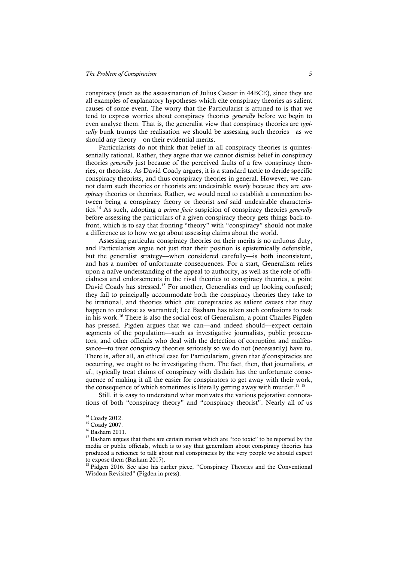conspiracy (such as the assassination of Julius Caesar in 44BCE), since they are all examples of explanatory hypotheses which cite conspiracy theories as salient causes of some event. The worry that the Particularist is attuned to is that we tend to express worries about conspiracy theories *generally* before we begin to even analyse them. That is, the generalist view that conspiracy theories are *typically* bunk trumps the realisation we should be assessing such theories––as we should any theory––on their evidential merits.

Particularists do not think that belief in all conspiracy theories is quintessentially rational. Rather, they argue that we cannot dismiss belief in conspiracy theories *generally* just because of the perceived faults of a few conspiracy theories, or theorists. As David Coady argues, it is a standard tactic to deride specific conspiracy theorists, and thus conspiracy theories in general. However, we cannot claim such theories or theorists are undesirable *merely* because they are *conspiracy* theories or theorists. Rather, we would need to establish a connection between being a conspiracy theory or theorist *and* said undesirable characteristics. <sup>14</sup> As such, adopting a *prima facie* suspicion of conspiracy theories *generally* before assessing the particulars of a given conspiracy theory gets things back-tofront, which is to say that fronting "theory" with "conspiracy" should not make a difference as to how we go about assessing claims about the world.

Assessing particular conspiracy theories on their merits is no arduous duty, and Particularists argue not just that their position is epistemically defensible, but the generalist strategy––when considered carefully––is both inconsistent, and has a number of unfortunate consequences. For a start, Generalism relies upon a naïve understanding of the appeal to authority, as well as the role of officialness and endorsements in the rival theories to conspiracy theories, a point David Coady has stressed.<sup>15</sup> For another, Generalists end up looking confused; they fail to principally accommodate both the conspiracy theories they take to be irrational, and theories which cite conspiracies as salient causes that they happen to endorse as warranted; Lee Basham has taken such confusions to task in his work. <sup>16</sup> There is also the social cost of Generalism, a point Charles Pigden has pressed. Pigden argues that we can—and indeed should––expect certain segments of the population––such as investigative journalists, public prosecutors, and other officials who deal with the detection of corruption and malfeasance––to treat conspiracy theories seriously so we do not (necessarily) have to. There is, after all, an ethical case for Particularism, given that *if* conspiracies are occurring, we ought to be investigating them. The fact, then, that journalists, *et al*., typically treat claims of conspiracy with disdain has the unfortunate consequence of making it all the easier for conspirators to get away with their work, the consequence of which sometimes is literally getting away with murder.<sup>17 18</sup>

Still, it is easy to understand what motivates the various pejorative connotations of both "conspiracy theory" and "conspiracy theorist". Nearly all of us

<sup>&</sup>lt;sup>14</sup> Coady 2012.

<sup>&</sup>lt;sup>15</sup> Coady 2007.

 $16$  Basham 2011.

 $17$  Basham argues that there are certain stories which are "too toxic" to be reported by the media or public officials, which is to say that generalism about conspiracy theories has produced a reticence to talk about real conspiracies by the very people we should expect to expose them (Basham 2017).

<sup>&</sup>lt;sup>18</sup> Pidgen 2016. See also his earlier piece, "Conspiracy Theories and the Conventional Wisdom Revisited" (Pigden in press).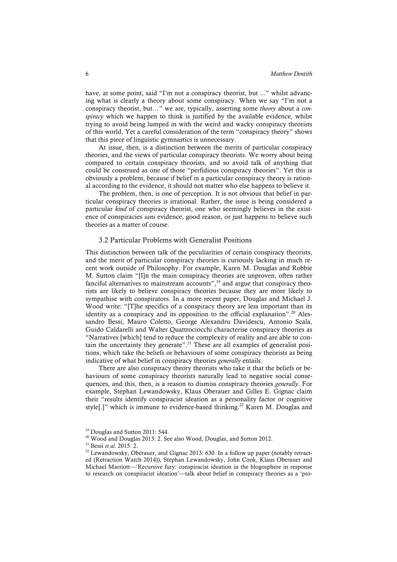have, at some point, said "I'm not a conspiracy theorist, but ..." whilst advancing what is clearly a theory about some conspiracy. When we say "I'm not a conspiracy theorist, but…" we are, typically, asserting some *theory* about a *conspiracy* which we happen to think is justified by the available evidence, whilst trying to avoid being lumped in with the weird and wacky conspiracy theorists of this world. Yet a careful consideration of the term "conspiracy theory" shows that this piece of linguistic gymnastics is unnecessary.

At issue, then, is a distinction between the merits of particular conspiracy theories, and the views of particular conspiracy theorists. We worry about being compared to certain conspiracy theorists, and so avoid talk of anything that could be construed as one of those "perfidious conspiracy theories". Yet this is obviously a problem, because if belief in a particular conspiracy theory is rational according to the evidence, it should not matter who else happens to believe it.

The problem, then, is one of perception. It is not obvious that belief in particular conspiracy theories is irrational. Rather, the issue is being considered a particular *kind* of conspiracy theorist, one who seemingly believes in the existence of conspiracies *sans* evidence, good reason, or just happens to believe such theories as a matter of course.

#### 3.2 Particular Problems with Generalist Positions

This distinction between talk of the peculiarities of certain conspiracy theorists, and the merit of particular conspiracy theories is curiously lacking in much recent work outside of Philosophy. For example, Karen M. Douglas and Robbie M. Sutton claim "[I]n the main conspiracy theories are unproven, often rather fanciful alternatives to mainstream accounts", $\frac{19}{12}$  and argue that conspiracy theorists are likely to believe conspiracy theories because they are more likely to sympathise with conspirators. In a more recent paper, Douglas and Michael J. Wood write: "[T]he specifics of a conspiracy theory are less important than its identity as a conspiracy and its opposition to the official explanation".<sup>20</sup> Alessandro Bessi, Mauro Coletto, George Alexandru Davidescu, Antonio Scala, Guido Caldarelli and Walter Quattrociocchi characterise conspiracy theories as "Narratives [which] tend to reduce the complexity of reality and are able to contain the uncertainty they generate".<sup>21</sup> These are all examples of generalist positions, which take the beliefs or behaviours of some conspiracy theorists as being indicative of what belief in conspiracy theories *generally* entails.

There are also conspiracy theory theorists who take it that the beliefs or behaviours of some conspiracy theorists naturally lead to negative social consequences, and this, then, is a reason to dismiss conspiracy theories *generally*. For example, Stephan Lewandowsky, Klaus Oberauer and Gilles E. Gignac claim their "results identify conspiracist ideation as a personality factor or cognitive style[.]" which is immune to evidence-based thinking.<sup>22</sup> Karen M. Douglas and

<sup>&</sup>lt;sup>19</sup> Douglas and Sutton 2011: 544.

<sup>&</sup>lt;sup>20</sup> Wood and Douglas 2013: 2. See also Wood, Douglas, and Sutton 2012.

<sup>21</sup> Bessi *et al*. 2015: 2.

 $22$  Lewandowsky, Oberauer, and Gignac 2013: 630. In a follow up paper (notably retracted (Retraction Watch 2014)), Stephan Lewandowsky, John Cook, Klaus Oberauer and Michael Marriott––'Recursive fury: conspiracist ideation in the blogosphere in response to research on conspiracist ideation'––talk about belief in conspiracy theories as a 'pro-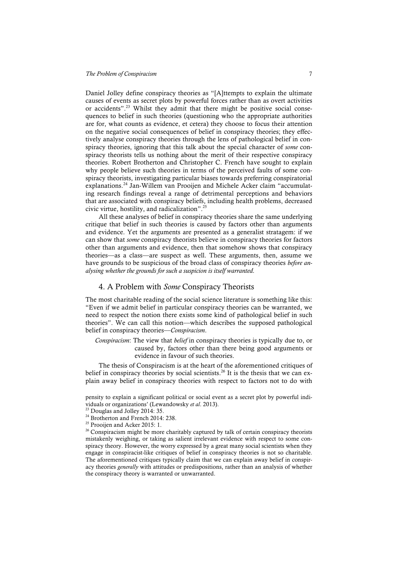Daniel Jolley define conspiracy theories as "[A]ttempts to explain the ultimate causes of events as secret plots by powerful forces rather than as overt activities or accidents".<sup>23</sup> Whilst they admit that there might be positive social consequences to belief in such theories (questioning who the appropriate authorities are for, what counts as evidence, et cetera) they choose to focus their attention on the negative social consequences of belief in conspiracy theories; they effectively analyse conspiracy theories through the lens of pathological belief in conspiracy theories, ignoring that this talk about the special character of *some* conspiracy theorists tells us nothing about the merit of their respective conspiracy theories. Robert Brotherton and Christopher C. French have sought to explain why people believe such theories in terms of the perceived faults of some conspiracy theorists, investigating particular biases towards preferring conspiratorial explanations.<sup>24</sup> Jan-Willem van Prooijen and Michele Acker claim "accumulating research findings reveal a range of detrimental perceptions and behaviors that are associated with conspiracy beliefs, including health problems, decreased civic virtue, hostility, and radicalization".25

All these analyses of belief in conspiracy theories share the same underlying critique that belief in such theories is caused by factors other than arguments and evidence. Yet the arguments are presented as a generalist stratagem: if we can show that *some* conspiracy theorists believe in conspiracy theories for factors other than arguments and evidence, then that somehow shows that conspiracy theories––as a class––are suspect as well. These arguments, then, assume we have grounds to be suspicious of the broad class of conspiracy theories *before analysing whether the grounds for such a suspicion is itself warranted.*

#### 4. A Problem with *Some* Conspiracy Theorists

The most charitable reading of the social science literature is something like this: "Even if we admit belief in particular conspiracy theories can be warranted, we need to respect the notion there exists some kind of pathological belief in such theories". We can call this notion––which describes the supposed pathological belief in conspiracy theories––*Conspiracism*.

*Conspiracism*: The view that *belief* in conspiracy theories is typically due to, or caused by, factors other than there being good arguments or evidence in favour of such theories.

The thesis of Conspiracism is at the heart of the aforementioned critiques of belief in conspiracy theories by social scientists.<sup>26</sup> It is the thesis that we can explain away belief in conspiracy theories with respect to factors not to do with

pensity to explain a significant political or social event as a secret plot by powerful individuals or organizations' (Lewandowsky *et al*. 2013).

<sup>&</sup>lt;sup>23</sup> Douglas and Jolley 2014: 35.

<sup>&</sup>lt;sup>24</sup> Brotherton and French 2014: 238.

<sup>&</sup>lt;sup>25</sup> Prooijen and Acker 2015: 1.

<sup>&</sup>lt;sup>26</sup> Conspiracism might be more charitably captured by talk of certain conspiracy theorists mistakenly weighing, or taking as salient irrelevant evidence with respect to some conspiracy theory. However, the worry expressed by a great many social scientists when they engage in conspiracist-like critiques of belief in conspiracy theories is not so charitable. The aforementioned critiques typically claim that we can explain away belief in conspiracy theories *generally* with attitudes or predispositions, rather than an analysis of whether the conspiracy theory is warranted or unwarranted.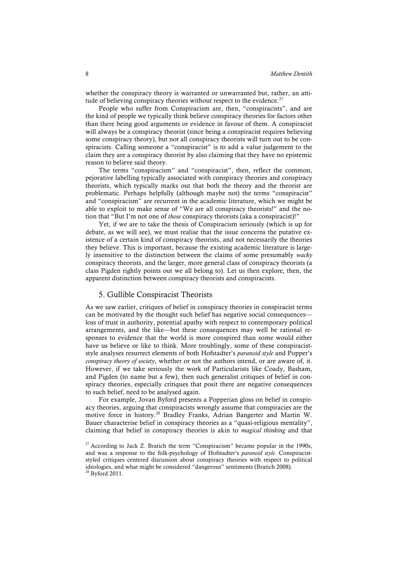whether the conspiracy theory is warranted or unwarranted but, rather, an attitude of believing conspiracy theories without respect to the evidence.<sup>27</sup>

People who suffer from Conspiracism are, then, "conspiracists", and are the kind of people we typically think believe conspiracy theories for factors other than there being good arguments or evidence in favour of them. A conspiracist will always be a conspiracy theorist (since being a conspiracist requires believing some conspiracy theory), but not all conspiracy theorists will turn out to be conspiracists. Calling someone a "conspiracist" is to add a value judgement to the claim they are a conspiracy theorist by also claiming that they have no epistemic reason to believe said theory.

The terms "conspiracism" and "conspiracist", then, reflect the common, pejorative labelling typically associated with conspiracy theories and conspiracy theorists, which typically marks out that both the theory and the theorist are problematic. Perhaps helpfully (although maybe not) the terms "conspiracist" and "conspiracism" are recurrent in the academic literature, which we might be able to exploit to make sense of "We are all conspiracy theorists!" and the notion that "But I'm not one of *those* conspiracy theorists (aka a conspiracist)!"

Yet, if we are to take the thesis of Conspiracism seriously (which is up for debate, as we will see), we must realise that the issue concerns the putative existence of a certain kind of conspiracy theorists, and not necessarily the theories they believe. This is important, because the existing academic literature is largely insensitive to the distinction between the claims of some presumably *wacky* conspiracy theorists, and the larger, more general class of conspiracy theorists (a class Pigden rightly points out we all belong to). Let us then explore, then, the apparent distinction between conspiracy theorists and conspiracists.

#### 5. Gullible Conspiracist Theorists

As we saw earlier, critiques of belief in conspiracy theories in conspiracist terms can be motivated by the thought such belief has negative social consequences–– loss of trust in authority, potential apathy with respect to contemporary political arrangements, and the like––but these consequences may well be rational responses to evidence that the world is more conspired than some would either have us believe or like to think. More troublingly, some of these conspiraciststyle analyses resurrect elements of both Hofstadter's *paranoid style* and Popper's *conspiracy theory of society*, whether or not the authors intend, or are aware of, it. However, if we take seriously the work of Particularists like Coady, Basham, and Pigden (to name but a few), then such generalist critiques of belief in conspiracy theories, especially critiques that posit there are negative consequences to such belief, need to be analysed again.

For example, Jovan Byford presents a Popperian gloss on belief in conspiracy theories, arguing that conspiracists wrongly assume that conspiracies are the motive force in history. <sup>28</sup> Bradley Franks, Adrian Bangerter and Martin W. Bauer characterise belief in conspiracy theories as a "quasi-religious mentality", claiming that belief in conspiracy theories is akin to *magical thinking* and that

<sup>&</sup>lt;sup>27</sup> According to Jack Z. Bratich the term "Conspiracism" became popular in the 1990s, and was a response to the folk-psychology of Hofstadter's *paranoid style*. Conspiraciststyled critiques centered discussion about conspiracy theories with respect to political ideologies, and what might be considered "dangerous" sentiments (Bratich 2008). <sup>28</sup> Byford 2011.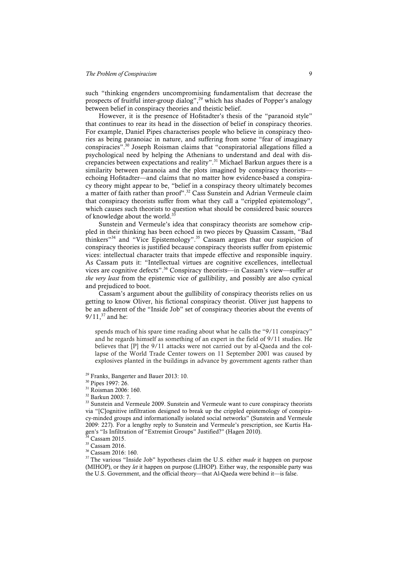such "thinking engenders uncompromising fundamentalism that decrease the prospects of fruitful inter-group dialog", <sup>29</sup> which has shades of Popper's analogy between belief in conspiracy theories and theistic belief.

However, it is the presence of Hofstadter's thesis of the "paranoid style" that continues to rear its head in the dissection of belief in conspiracy theories. For example, Daniel Pipes characterises people who believe in conspiracy theories as being paranoiac in nature, and suffering from some "fear of imaginary conspiracies". <sup>30</sup> Joseph Roisman claims that "conspiratorial allegations filled a psychological need by helping the Athenians to understand and deal with discrepancies between expectations and reality". <sup>31</sup> Michael Barkun argues there is a similarity between paranoia and the plots imagined by conspiracy theorists echoing Hofstadter––and claims that no matter how evidence-based a conspiracy theory might appear to be, "belief in a conspiracy theory ultimately becomes a matter of faith rather than proof".<sup>32</sup> Cass Sunstein and Adrian Vermeule claim that conspiracy theorists suffer from what they call a "crippled epistemology", which causes such theorists to question what should be considered basic sources of knowledge about the world.<sup>33</sup>

Sunstein and Vermeule's idea that conspiracy theorists are somehow crippled in their thinking has been echoed in two pieces by Quassim Cassam, "Bad thinkers"<sup>34</sup> and "Vice Epistemology".<sup>35</sup> Cassam argues that our suspicion of conspiracy theories is justified because conspiracy theorists suffer from epistemic vices: intellectual character traits that impede effective and responsible inquiry. As Cassam puts it: "Intellectual virtues are cognitive excellences, intellectual vices are cognitive defects". <sup>36</sup> Conspiracy theorists––in Cassam's view––suffer *at the very least* from the epistemic vice of gullibility, and possibly are also cynical and prejudiced to boot.

Cassam's argument about the gullibility of conspiracy theorists relies on us getting to know Oliver, his fictional conspiracy theorist. Oliver just happens to be an adherent of the "Inside Job" set of conspiracy theories about the events of  $9/11$ ,  $37$  and he:

spends much of his spare time reading about what he calls the "9/11 conspiracy" and he regards himself as something of an expert in the field of 9/11 studies. He believes that [P] the 9/11 attacks were not carried out by al-Qaeda and the collapse of the World Trade Center towers on 11 September 2001 was caused by explosives planted in the buildings in advance by government agents rather than

<sup>29</sup> Franks, Bangerter and Bauer 2013: 10.

<sup>31</sup> Roisman 2006: 160.

<sup>35</sup> Cassam 2016.

<sup>36</sup> Cassam 2016: 160.

<sup>37</sup> The various "Inside Job" hypotheses claim the U.S. either *made* it happen on purpose (MIHOP), or they *let* it happen on purpose (LIHOP). Either way, the responsible party was the U.S. Government, and the official theory––that Al-Qaeda were behind it––is false.

<sup>30</sup> Pipes 1997: 26.

<sup>32</sup> Barkun 2003: 7.

<sup>&</sup>lt;sup>33</sup> Sunstein and Vermeule 2009. Sunstein and Vermeule want to cure conspiracy theorists via "[C]ognitive infiltration designed to break up the crippled epistemology of conspiracy-minded groups and informationally isolated social networks" (Sunstein and Vermeule 2009: 227). For a lengthy reply to Sunstein and Vermeule's prescription, see Kurtis Hagen's "Is Infiltration of "Extremist Groups" Justified?" (Hagen 2010).

Cassam 2015.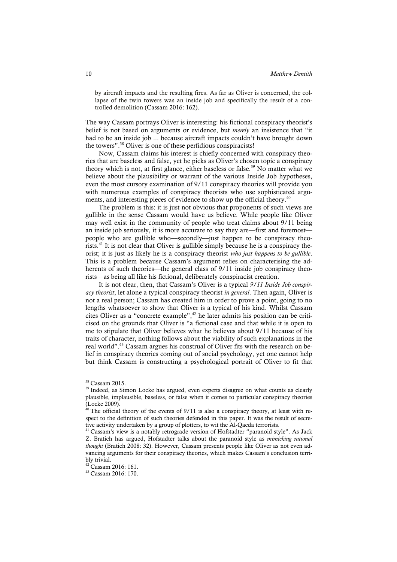by aircraft impacts and the resulting fires. As far as Oliver is concerned, the collapse of the twin towers was an inside job and specifically the result of a controlled demolition (Cassam 2016: 162).

The way Cassam portrays Oliver is interesting: his fictional conspiracy theorist's belief is not based on arguments or evidence, but *merely* an insistence that "it had to be an inside job ... because aircraft impacts couldn't have brought down the towers". <sup>38</sup> Oliver is one of these perfidious conspiracists!

Now, Cassam claims his interest is chiefly concerned with conspiracy theories that are baseless and false, yet he picks as Oliver's chosen topic a conspiracy theory which is not, at first glance, either baseless or false.<sup>39</sup> No matter what we believe about the plausibility or warrant of the various Inside Job hypotheses, even the most cursory examination of 9/11 conspiracy theories will provide you with numerous examples of conspiracy theorists who use sophisticated arguments, and interesting pieces of evidence to show up the official theory.<sup>40</sup>

The problem is this: it is just not obvious that proponents of such views are gullible in the sense Cassam would have us believe. While people like Oliver may well exist in the community of people who treat claims about 9/11 being an inside job seriously, it is more accurate to say they are––first and foremost–– people who are gullible who––secondly––just happen to be conspiracy theorists.<sup>41</sup> It is not clear that Oliver is gullible simply because he is a conspiracy theorist; it is just as likely he is a conspiracy theorist *who just happens to be gullible*. This is a problem because Cassam's argument relies on characterising the adherents of such theories—the general class of 9/11 inside job conspiracy theorists––as being all like his fictional, deliberately conspiracist creation.

It is not clear, then, that Cassam's Oliver is a typical *9/11 Inside Job conspiracy theorist*, let alone a typical conspiracy theorist *in general*. Then again, Oliver is not a real person; Cassam has created him in order to prove a point, going to no lengths whatsoever to show that Oliver is a typical of his kind. Whilst Cassam cites Oliver as a "concrete example", <sup>42</sup> he later admits his position can be criticised on the grounds that Oliver is "a fictional case and that while it is open to me to stipulate that Oliver believes what he believes about 9/11 because of his traits of character, nothing follows about the viability of such explanations in the real world".<sup>43</sup> Cassam argues his construal of Oliver fits with the research on belief in conspiracy theories coming out of social psychology, yet one cannot help but think Cassam is constructing a psychological portrait of Oliver to fit that

<sup>38</sup> Cassam 2015.

<sup>&</sup>lt;sup>39</sup> Indeed, as Simon Locke has argued, even experts disagree on what counts as clearly plausible, implausible, baseless, or false when it comes to particular conspiracy theories (Locke 2009).

 $40$  The official theory of the events of 9/11 is also a conspiracy theory, at least with respect to the definition of such theories defended in this paper. It was the result of secretive activity undertaken by a group of plotters, to wit the Al-Qaeda terrorists.

<sup>&</sup>lt;sup>41</sup> Cassam's view is a notably retrograde version of Hofstadter "paranoid style". As Jack Z. Bratich has argued, Hofstadter talks about the paranoid style as *mimicking rational thought* (Bratich 2008: 32). However, Cassam presents people like Oliver as not even advancing arguments for their conspiracy theories, which makes Cassam's conclusion terribly trivial.

<sup>42</sup> Cassam 2016: 161.

<sup>43</sup> Cassam 2016: 170.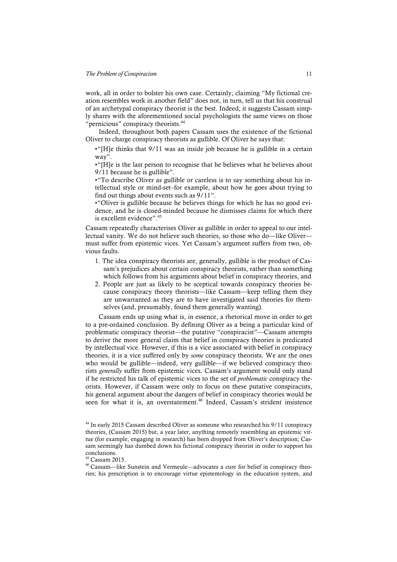work, all in order to bolster his own case. Certainly, claiming "My fictional creation resembles work in another field" does not, in turn, tell us that his construal of an archetypal conspiracy theorist is the best. Indeed, it suggests Cassam simply shares with the aforementioned social psychologists the same views on those "pernicious" conspiracy theorists.<sup>44</sup>

Indeed, throughout both papers Cassam uses the existence of the fictional Oliver to charge conspiracy theorists as gullible. Of Oliver he says that:

•"[H]e thinks that 9/11 was an inside job because he is gullible in a certain way".

•"[H]e is the last person to recognise that he believes what he believes about 9/11 because he is gullible".

•"To describe Oliver as gullible or careless is to say something about his intellectual style or mind-set–for example, about how he goes about trying to find out things about events such as 9/11".

•"Oliver is gullible because he believes things for which he has no good evidence, and he is closed-minded because he dismisses claims for which there is excellent evidence". 45

Cassam repeatedly characterises Oliver as gullible in order to appeal to our intellectual vanity. We do not believe such theories, so those who do––like Oliver–– must suffer from epistemic vices. Yet Cassam's argument suffers from two, obvious faults.

- 1. The idea conspiracy theorists are, generally, gullible is the product of Cassam's prejudices about certain conspiracy theorists, rather than something which follows from his arguments about belief in conspiracy theories, and
- 2. People are just as likely to be sceptical towards conspiracy theories because conspiracy theory theorists––like Cassam––keep telling them they are unwarranted as they are to have investigated said theories for themselves (and, presumably, found them generally wanting).

Cassam ends up using what is, in essence, a rhetorical move in order to get to a pre-ordained conclusion. By defining Oliver as a being a particular kind of problematic conspiracy theorist––the putative "conspiracist"––Cassam attempts to derive the more general claim that belief in conspiracy theories is predicated by intellectual vice. However, if this is a vice associated with belief in conspiracy theories, it is a vice suffered only by *some* conspiracy theorists. We are the ones who would be gullible—indeed, very gullible—if we believed conspiracy theorists *generally* suffer from epistemic vices. Cassam's argument would only stand if he restricted his talk of epistemic vices to the set of *problematic* conspiracy theorists. However, if Cassam were only to focus on these putative conspiracists, his general argument about the dangers of belief in conspiracy theories would be seen for what it is, an overstatement.<sup>46</sup> Indeed, Cassam's strident insistence

<sup>&</sup>lt;sup>44</sup> In early 2015 Cassam described Oliver as someone who researched his 9/11 conspiracy theories, (Cassam 2015) but, a year later, anything remotely resembling an epistemic virtue (for example, engaging in research) has been dropped from Oliver's description; Cassam seemingly has dumbed down his fictional conspiracy theorist in order to support his conclusions.

 $45$  Cassam 2015.

<sup>46</sup> Cassam––like Sunstein and Vermeule––advocates a cure for belief in conspiracy theories; his prescription is to encourage virtue epistemology in the education system, and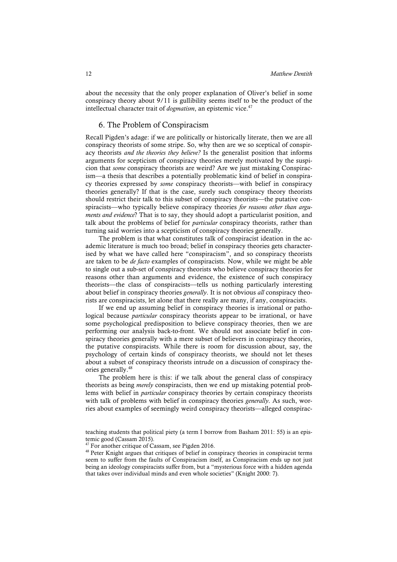about the necessity that the only proper explanation of Oliver's belief in some conspiracy theory about 9/11 is gullibility seems itself to be the product of the intellectual character trait of *dogmatism*, an epistemic vice.<sup>47</sup>

### 6. The Problem of Conspiracism

Recall Pigden's adage: if we are politically or historically literate, then we are all conspiracy theorists of some stripe. So, why then are we so sceptical of conspiracy theorists *and the theories they believe?* Is the generalist position that informs arguments for scepticism of conspiracy theories merely motivated by the suspicion that *some* conspiracy theorists are weird? Are we just mistaking Conspiracism––a thesis that describes a potentially problematic kind of belief in conspiracy theories expressed by *some* conspiracy theorists––with belief in conspiracy theories generally? If that is the case, surely such conspiracy theory theorists should restrict their talk to this subset of conspiracy theorists––the putative conspiracists––who typically believe conspiracy theories *for reasons other than arguments and evidence*? That is to say, they should adopt a particularist position, and talk about the problems of belief for *particular* conspiracy theorists, rather than turning said worries into a scepticism of conspiracy theories generally.

The problem is that what constitutes talk of conspiracist ideation in the academic literature is much too broad; belief in conspiracy theories gets characterised by what we have called here "conspiracism", and so conspiracy theorists are taken to be *de facto* examples of conspiracists. Now, while we might be able to single out a sub-set of conspiracy theorists who believe conspiracy theories for reasons other than arguments and evidence, the existence of such conspiracy theorists––the class of conspiracists––tells us nothing particularly interesting about belief in conspiracy theories *generally*. It is not obvious *all* conspiracy theorists are conspiracists, let alone that there really are many, if any, conspiracists.

If we end up assuming belief in conspiracy theories is irrational or pathological because *particular* conspiracy theorists appear to be irrational, or have some psychological predisposition to believe conspiracy theories, then we are performing our analysis back-to-front. We should not associate belief in conspiracy theories generally with a mere subset of believers in conspiracy theories, the putative conspiracists. While there is room for discussion about, say, the psychology of certain kinds of conspiracy theorists, we should not let theses about a subset of conspiracy theorists intrude on a discussion of conspiracy theories generally.<sup>48</sup>

The problem here is this: if we talk about the general class of conspiracy theorists as being *merely* conspiracists, then we end up mistaking potential problems with belief in *particular* conspiracy theories by certain conspiracy theorists with talk of problems with belief in conspiracy theories *generally*. As such, worries about examples of seemingly weird conspiracy theorists––alleged conspirac-

teaching students that political piety (a term I borrow from Basham 2011: 55) is an epistemic good (Cassam 2015).

<sup>&</sup>lt;sup>47</sup> For another critique of Cassam, see Pigden 2016.

<sup>&</sup>lt;sup>48</sup> Peter Knight argues that critiques of belief in conspiracy theories in conspiracist terms seem to suffer from the faults of Conspiracism itself, as Conspiracism ends up not just being an ideology conspiracists suffer from, but a "mysterious force with a hidden agenda that takes over individual minds and even whole societies" (Knight 2000: 7).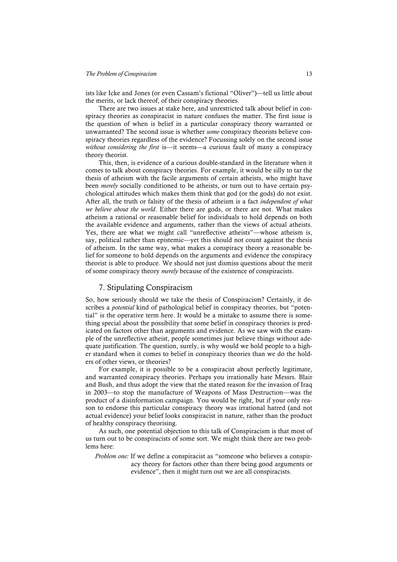ists like Icke and Jones (or even Cassam's fictional "Oliver")––tell us little about the merits, or lack thereof, of their conspiracy theories.

There are two issues at stake here, and unrestricted talk about belief in conspiracy theories as conspiracist in nature confuses the matter. The first issue is the question of when is belief in a particular conspiracy theory warranted or unwarranted? The second issue is whether *some* conspiracy theorists believe conspiracy theories regardless of the evidence? Focussing solely on the second issue *without considering the first* is––it seems––a curious fault of many a conspiracy theory theorist.

This, then, is evidence of a curious double-standard in the literature when it comes to talk about conspiracy theories. For example, it would be silly to tar the thesis of atheism with the facile arguments of certain atheists, who might have been *merely* socially conditioned to be atheists, or turn out to have certain psychological attitudes which makes them think that god (or the gods) do not exist. After all, the truth or falsity of the thesis of atheism is a fact *independent of what we believe about the world*. Either there are gods, or there are not. What makes atheism a rational or reasonable belief for individuals to hold depends on both the available evidence and arguments, rather than the views of actual atheists. Yes, there are what we might call "unreflective atheists"—whose atheism is, say, political rather than epistemic—yet this should not count against the thesis of atheism. In the same way, what makes a conspiracy theory a reasonable belief for someone to hold depends on the arguments and evidence the conspiracy theorist is able to produce. We should not just dismiss questions about the merit of some conspiracy theory *merely* because of the existence of conspiracists.

# 7. Stipulating Conspiracism

So, how seriously should we take the thesis of Conspiracism? Certainly, it describes a *potential* kind of pathological belief in conspiracy theories, but "potential" is the operative term here. It would be a mistake to assume there is something special about the possibility that some belief in conspiracy theories is predicated on factors other than arguments and evidence. As we saw with the example of the unreflective atheist, people sometimes just believe things without adequate justification. The question, surely, is why would we hold people to a higher standard when it comes to belief in conspiracy theories than we do the holders of other views, or theories?

For example, it is possible to be a conspiracist about perfectly legitimate, and warranted conspiracy theories. Perhaps you irrationally hate Messrs. Blair and Bush, and thus adopt the view that the stated reason for the invasion of Iraq in 2003––to stop the manufacture of Weapons of Mass Destruction––was the product of a disinformation campaign. You would be right, but if your only reason to endorse this particular conspiracy theory was irrational hatred (and not actual evidence) your belief looks conspiracist in nature, rather than the product of healthy conspiracy theorising.

As such, one potential objection to this talk of Conspiracism is that most of us turn out to be conspiracists of some sort. We might think there are two problems here:

*Problem one:* If we define a conspiracist as "someone who believes a conspiracy theory for factors other than there being good arguments or evidence", then it might turn out we are all conspiracists.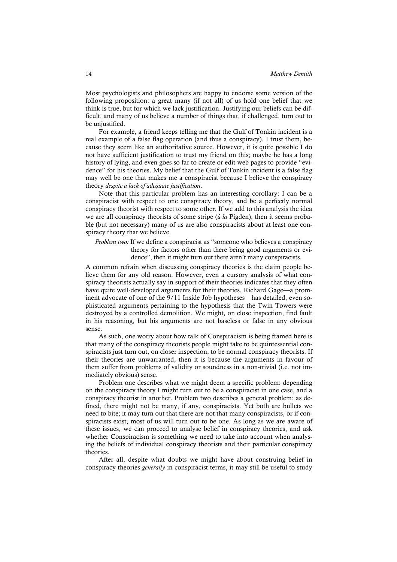Most psychologists and philosophers are happy to endorse some version of the following proposition: a great many (if not all) of us hold one belief that we think is true, but for which we lack justification. Justifying our beliefs can be difficult, and many of us believe a number of things that, if challenged, turn out to be unjustified.

For example, a friend keeps telling me that the Gulf of Tonkin incident is a real example of a false flag operation (and thus a conspiracy). I trust them, because they seem like an authoritative source. However, it is quite possible I do not have sufficient justification to trust my friend on this; maybe he has a long history of lying, and even goes so far to create or edit web pages to provide "evidence" for his theories. My belief that the Gulf of Tonkin incident is a false flag may well be one that makes me a conspiracist because I believe the conspiracy theory *despite a lack of adequate justification*.

Note that this particular problem has an interesting corollary: I can be a conspiracist with respect to one conspiracy theory, and be a perfectly normal conspiracy theorist with respect to some other. If we add to this analysis the idea we are all conspiracy theorists of some stripe (*à la* Pigden), then it seems probable (but not necessary) many of us are also conspiracists about at least one conspiracy theory that we believe.

*Problem two:* If we define a conspiracist as "someone who believes a conspiracy theory for factors other than there being good arguments or evidence", then it might turn out there aren't many conspiracists.

A common refrain when discussing conspiracy theories is the claim people believe them for any old reason. However, even a cursory analysis of what conspiracy theorists actually say in support of their theories indicates that they often have quite well-developed arguments for their theories. Richard Gage––a prominent advocate of one of the 9/11 Inside Job hypotheses––has detailed, even sophisticated arguments pertaining to the hypothesis that the Twin Towers were destroyed by a controlled demolition. We might, on close inspection, find fault in his reasoning, but his arguments are not baseless or false in any obvious sense.

As such, one worry about how talk of Conspiracism is being framed here is that many of the conspiracy theorists people might take to be quintessential conspiracists just turn out, on closer inspection, to be normal conspiracy theorists. If their theories are unwarranted, then it is because the arguments in favour of them suffer from problems of validity or soundness in a non-trivial (i.e. not immediately obvious) sense.

Problem one describes what we might deem a specific problem: depending on the conspiracy theory I might turn out to be a conspiracist in one case, and a conspiracy theorist in another. Problem two describes a general problem: as defined, there might not be many, if any, conspiracists. Yet both are bullets we need to bite; it may turn out that there are not that many conspiracists, or if conspiracists exist, most of us will turn out to be one. As long as we are aware of these issues, we can proceed to analyse belief in conspiracy theories, and ask whether Conspiracism is something we need to take into account when analysing the beliefs of individual conspiracy theorists and their particular conspiracy theories.

After all, despite what doubts we might have about construing belief in conspiracy theories *generally* in conspiracist terms, it may still be useful to study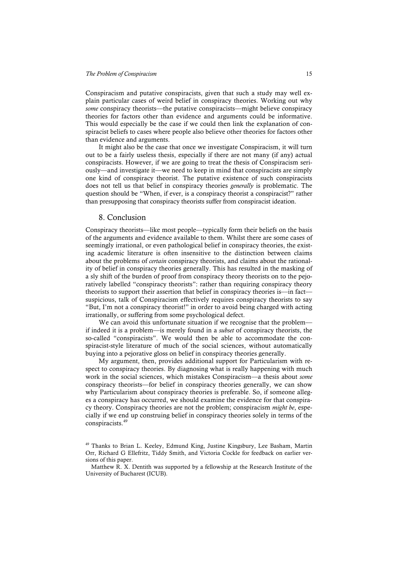#### *The Problem of Conspiracism* 15

Conspiracism and putative conspiracists, given that such a study may well explain particular cases of weird belief in conspiracy theories. Working out why *some* conspiracy theorists––the putative conspiracists––might believe conspiracy theories for factors other than evidence and arguments could be informative. This would especially be the case if we could then link the explanation of conspiracist beliefs to cases where people also believe other theories for factors other than evidence and arguments.

It might also be the case that once we investigate Conspiracism, it will turn out to be a fairly useless thesis, especially if there are not many (if any) actual conspiracists. However, if we are going to treat the thesis of Conspiracism seriously—and investigate it––we need to keep in mind that conspiracists are simply one kind of conspiracy theorist. The putative existence of such conspiracists does not tell us that belief in conspiracy theories *generally* is problematic. The question should be "When, if ever, is a conspiracy theorist a conspiracist?" rather than presupposing that conspiracy theorists suffer from conspiracist ideation.

#### 8. Conclusion

Conspiracy theorists––like most people––typically form their beliefs on the basis of the arguments and evidence available to them. Whilst there are some cases of seemingly irrational, or even pathological belief in conspiracy theories, the existing academic literature is often insensitive to the distinction between claims about the problems of *certain* conspiracy theorists, and claims about the rationality of belief in conspiracy theories generally. This has resulted in the masking of a sly shift of the burden of proof from conspiracy theory theorists on to the pejoratively labelled "conspiracy theorists": rather than requiring conspiracy theory theorists to support their assertion that belief in conspiracy theories is––in fact–– suspicious, talk of Conspiracism effectively requires conspiracy theorists to say "But, I'm not a conspiracy theorist!" in order to avoid being charged with acting irrationally, or suffering from some psychological defect.

We can avoid this unfortunate situation if we recognise that the problem if indeed it is a problem––is merely found in a *subset* of conspiracy theorists, the so-called "conspiracists". We would then be able to accommodate the conspiracist-style literature of much of the social sciences, without automatically buying into a pejorative gloss on belief in conspiracy theories generally.

My argument, then, provides additional support for Particularism with respect to conspiracy theories. By diagnosing what is really happening with much work in the social sciences, which mistakes Conspiracism––a thesis about *some* conspiracy theorists––for belief in conspiracy theories generally, we can show why Particularism about conspiracy theories is preferable. So, if someone alleges a conspiracy has occurred, we should examine the evidence for that conspiracy theory. Conspiracy theories are not the problem; conspiracism *might be*, especially if we end up construing belief in conspiracy theories solely in terms of the conspiracists.<sup>49</sup>

<sup>49</sup> Thanks to Brian L. Keeley, Edmund King, Justine Kingsbury, Lee Basham, Martin Orr, Richard G Ellefritz, Tiddy Smith, and Victoria Cockle for feedback on earlier versions of this paper.

Matthew R. X. Dentith was supported by a fellowship at the Research Institute of the University of Bucharest (ICUB).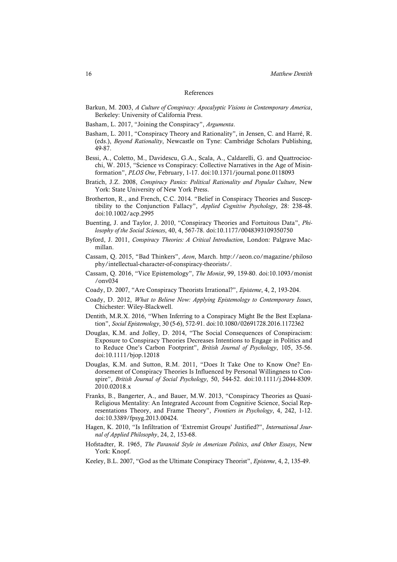#### References

- Barkun, M. 2003, *A Culture of Conspiracy: Apocalyptic Visions in Contemporary America*, Berkeley: University of California Press.
- Basham, L. 2017, "Joining the Conspiracy", *Argumenta*.
- Basham, L. 2011, "Conspiracy Theory and Rationality", in Jensen, C. and Harré, R. (eds.), *Beyond Rationality*, Newcastle on Tyne: Cambridge Scholars Publishing, 49-87.
- Bessi, A., Coletto, M., Davidescu, G.A., Scala, A., Caldarelli, G. and Quattrociocchi, W. 2015, "Science vs Conspiracy: Collective Narratives in the Age of Misinformation", *PLOS One*, February, 1-17. doi:10.1371/journal.pone.0118093
- Bratich, J.Z. 2008, *Conspiracy Panics: Political Rationality and Popular Culture*, New York: State University of New York Press.
- Brotherton, R., and French, C.C. 2014. "Belief in Conspiracy Theories and Susceptibility to the Conjunction Fallacy", *Applied Cognitive Psychology*, 28: 238-48. doi:10.1002/acp.2995
- Buenting, J. and Taylor, J. 2010, "Conspiracy Theories and Fortuitous Data", *Philosophy of the Social Sciences*, 40, 4, 567-78. doi:10.1177/0048393109350750
- Byford, J. 2011, *Conspiracy Theories: A Critical Introduction*, London: Palgrave Macmillan.
- Cassam, Q. 2015, "Bad Thinkers", *Aeon*, March. http://aeon.co/magazine/philoso phy/intellectual-character-of-conspiracy-theorists/.
- Cassam, Q. 2016, "Vice Epistemology", *The Monist*, 99, 159-80. doi:10.1093/monist /onv034
- Coady, D. 2007, "Are Conspiracy Theorists Irrational?", *Episteme*, 4, 2, 193-204.
- Coady, D. 2012, *What to Believe Now: Applying Epistemology to Contemporary Issues*, Chichester: Wiley-Blackwell.
- Dentith, M.R.X. 2016, "When Inferring to a Conspiracy Might Be the Best Explanation", *Social Epistemology*, 30 (5-6), 572-91. doi:10.1080/02691728.2016.1172362
- Douglas, K.M. and Jolley, D. 2014, "The Social Consequences of Conspiracism: Exposure to Conspiracy Theories Decreases Intentions to Engage in Politics and to Reduce One's Carbon Footprint", *British Journal of Psychology*, 105, 35-56. doi:10.1111/bjop.12018
- Douglas, K.M. and Sutton, R.M. 2011, "Does It Take One to Know One? Endorsement of Conspiracy Theories Is Influenced by Personal Willingness to Conspire", *British Journal of Social Psychology*, 50, 544-52. doi:10.1111/j.2044-8309. 2010.02018.x
- Franks, B., Bangerter, A., and Bauer, M.W. 2013, "Conspiracy Theories as Quasi-Religious Mentality: An Integrated Account from Cognitive Science, Social Representations Theory, and Frame Theory", *Frontiers in Psychology*, 4, 242, 1-12. doi:10.3389/fpsyg.2013.00424.
- Hagen, K. 2010, "Is Infiltration of 'Extremist Groups' Justified?", *International Journal of Applied Philosophy*, 24, 2, 153-68.
- Hofstadter, R. 1965, *The Paranoid Style in American Politics*, *and Other Essays*, New York: Knopf.
- Keeley, B.L. 2007, "God as the Ultimate Conspiracy Theorist", *Episteme*, 4, 2, 135-49.